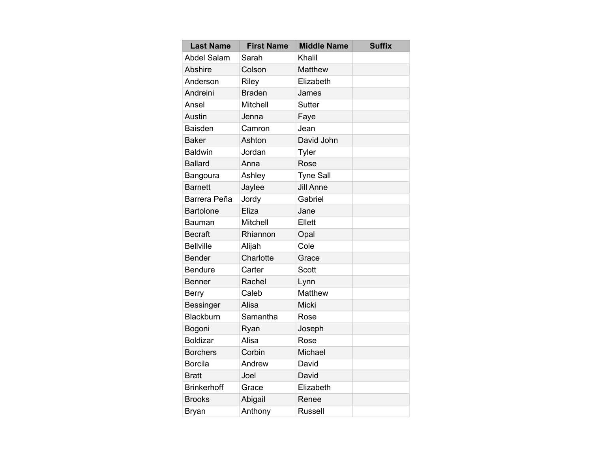| <b>Last Name</b>   | <b>First Name</b> | <b>Middle Name</b> | <b>Suffix</b> |
|--------------------|-------------------|--------------------|---------------|
| <b>Abdel Salam</b> | Sarah             | Khalil             |               |
| <b>Abshire</b>     | Colson            | Matthew            |               |
| Anderson           | Riley             | Elizabeth          |               |
| Andreini           | <b>Braden</b>     | James              |               |
| Ansel              | <b>Mitchell</b>   | <b>Sutter</b>      |               |
| <b>Austin</b>      | Jenna             | Faye               |               |
| <b>Baisden</b>     | Camron            | Jean               |               |
| <b>Baker</b>       | Ashton            | David John         |               |
| <b>Baldwin</b>     | Jordan            | Tyler              |               |
| <b>Ballard</b>     | Anna              | Rose               |               |
| Bangoura           | Ashley            | <b>Tyne Sall</b>   |               |
| <b>Barnett</b>     | Jaylee            | <b>Jill Anne</b>   |               |
| Barrera Peña       | Jordy             | Gabriel            |               |
| <b>Bartolone</b>   | Eliza             | Jane               |               |
| Bauman             | <b>Mitchell</b>   | Ellett             |               |
| <b>Becraft</b>     | Rhiannon          | Opal               |               |
| <b>Bellville</b>   | Alijah            | Cole               |               |
| <b>Bender</b>      | Charlotte         | Grace              |               |
| <b>Bendure</b>     | Carter            | <b>Scott</b>       |               |
| <b>Benner</b>      | Rachel            | Lynn               |               |
| <b>Berry</b>       | Caleb             | <b>Matthew</b>     |               |
| <b>Bessinger</b>   | Alisa             | Micki              |               |
| Blackburn          | Samantha          | Rose               |               |
| Bogoni             | Ryan              | Joseph             |               |
| <b>Boldizar</b>    | Alisa             | Rose               |               |
| <b>Borchers</b>    | Corbin            | Michael            |               |
| <b>Borcila</b>     | Andrew            | David              |               |
| <b>Bratt</b>       | Joel              | David              |               |
| <b>Brinkerhoff</b> | Grace             | Elizabeth          |               |
| <b>Brooks</b>      | Abigail           | Renee              |               |
| Bryan              | Anthony           | <b>Russell</b>     |               |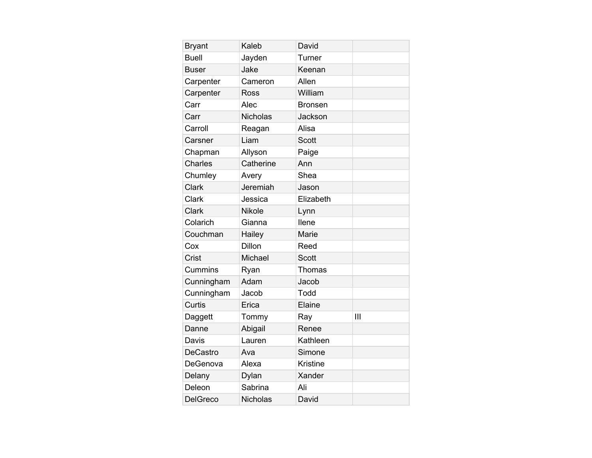| <b>Bryant</b>   | Kaleb           | David           |   |
|-----------------|-----------------|-----------------|---|
| <b>Buell</b>    | Jayden          | Turner          |   |
| <b>Buser</b>    | Jake            | Keenan          |   |
| Carpenter       | Cameron         | Allen           |   |
| Carpenter       | <b>Ross</b>     | William         |   |
| Carr            | Alec            | <b>Bronsen</b>  |   |
| Carr            | <b>Nicholas</b> | Jackson         |   |
| Carroll         | Reagan          | Alisa           |   |
| Carsner         | Liam            | <b>Scott</b>    |   |
| Chapman         | Allyson         | Paige           |   |
| <b>Charles</b>  | Catherine       | Ann             |   |
| Chumley         | Avery           | Shea            |   |
| Clark           | Jeremiah        | Jason           |   |
| Clark           | Jessica         | Elizabeth       |   |
| Clark           | <b>Nikole</b>   | Lynn            |   |
| Colarich        | Gianna          | llene           |   |
| Couchman        | Hailey          | Marie           |   |
| Cox             | <b>Dillon</b>   | Reed            |   |
| Crist           | Michael         | <b>Scott</b>    |   |
| Cummins         | Ryan            | Thomas          |   |
| Cunningham      | Adam            | Jacob           |   |
| Cunningham      | Jacob           | Todd            |   |
| Curtis          | Erica           | Elaine          |   |
| Daggett         | Tommy           | Ray             | Ш |
| Danne           | Abigail         | Renee           |   |
| Davis           | Lauren          | Kathleen        |   |
| <b>DeCastro</b> | Ava             | Simone          |   |
| DeGenova        | Alexa           | <b>Kristine</b> |   |
| Delany          | Dylan           | Xander          |   |
| Deleon          | Sabrina         | Ali             |   |
| <b>DelGreco</b> | <b>Nicholas</b> | David           |   |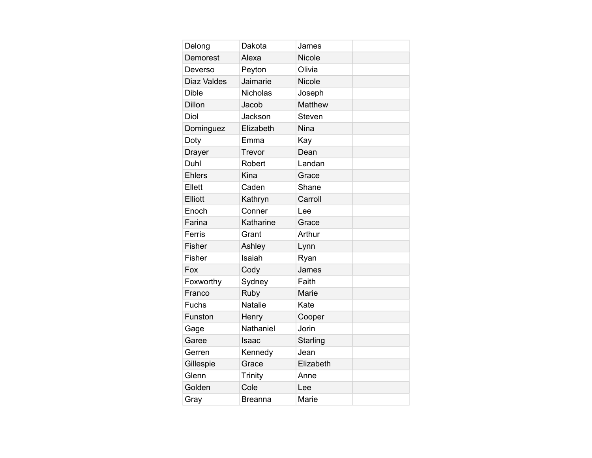| Delong             | Dakota          | James          |  |
|--------------------|-----------------|----------------|--|
| Demorest           | Alexa           | <b>Nicole</b>  |  |
| Deverso            | Peyton          | Olivia         |  |
| <b>Diaz Valdes</b> | Jaimarie        | <b>Nicole</b>  |  |
| <b>Dible</b>       | <b>Nicholas</b> | Joseph         |  |
| <b>Dillon</b>      | Jacob           | <b>Matthew</b> |  |
| Diol               | Jackson         | Steven         |  |
| Dominguez          | Elizabeth       | <b>Nina</b>    |  |
| Doty               | Emma            | Kay            |  |
| Drayer             | Trevor          | Dean           |  |
| Duhl               | Robert          | Landan         |  |
| <b>Ehlers</b>      | Kina            | Grace          |  |
| Ellett             | Caden           | Shane          |  |
| Elliott            | Kathryn         | Carroll        |  |
| Enoch              | Conner          | Lee            |  |
| Farina             | Katharine       | Grace          |  |
| Ferris             | Grant           | Arthur         |  |
| Fisher             | Ashley          | Lynn           |  |
| Fisher             | Isaiah          | Ryan           |  |
| Fox                | Cody            | James          |  |
| Foxworthy          | Sydney          | Faith          |  |
| Franco             | Ruby            | Marie          |  |
| <b>Fuchs</b>       | <b>Natalie</b>  | Kate           |  |
| Funston            | Henry           | Cooper         |  |
| Gage               | Nathaniel       | Jorin          |  |
| Garee              | Isaac           | Starling       |  |
| Gerren             | Kennedy         | Jean           |  |
| Gillespie          | Grace           | Elizabeth      |  |
| Glenn              | Trinity         | Anne           |  |
| Golden             | Cole            | Lee            |  |
| Gray               | <b>Breanna</b>  | Marie          |  |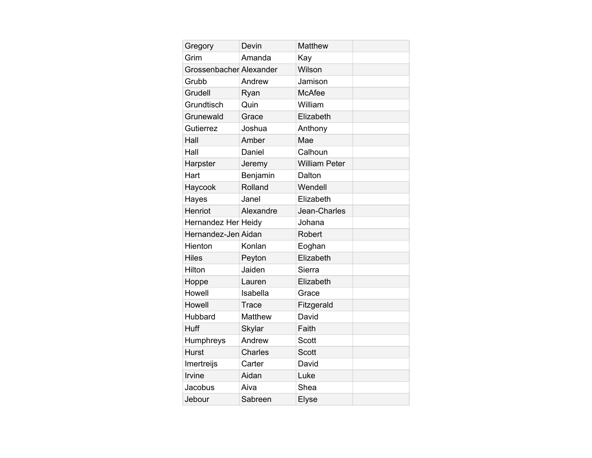| Gregory                 | Devin          | Matthew              |  |
|-------------------------|----------------|----------------------|--|
| Grim                    | Amanda         | Kay                  |  |
| Grossenbacher Alexander |                | Wilson               |  |
| Grubb                   | Andrew         | Jamison              |  |
| Grudell                 | Ryan           | <b>McAfee</b>        |  |
| Grundtisch              | Quin           | William              |  |
| Grunewald               | Grace          | Elizabeth            |  |
| Gutierrez               | Joshua         | Anthony              |  |
| Hall                    | Amber          | Mae                  |  |
| Hall                    | Daniel         | Calhoun              |  |
| Harpster                | Jeremy         | <b>William Peter</b> |  |
| Hart                    | Benjamin       | Dalton               |  |
| Haycook                 | Rolland        | Wendell              |  |
| Hayes                   | Janel          | Elizabeth            |  |
| Henriot                 | Alexandre      | Jean-Charles         |  |
| Hernandez Her Heidy     |                | Johana               |  |
| Hernandez-Jen Aidan     |                | Robert               |  |
| Hienton                 | Konlan         | Eoghan               |  |
| <b>Hiles</b>            | Peyton         | Elizabeth            |  |
| Hilton                  | Jaiden         | Sierra               |  |
| Hoppe                   | Lauren         | Elizabeth            |  |
| Howell                  | Isabella       | Grace                |  |
| Howell                  | Trace          | Fitzgerald           |  |
| Hubbard                 | Matthew        | David                |  |
| <b>Huff</b>             | <b>Skylar</b>  | Faith                |  |
| Humphreys               | Andrew         | <b>Scott</b>         |  |
| <b>Hurst</b>            | <b>Charles</b> | <b>Scott</b>         |  |
| Imertreijs              | Carter         | David                |  |
| Irvine                  | Aidan          | Luke                 |  |
| Jacobus                 | Aiva           | Shea                 |  |
| Jebour                  | Sabreen        | <b>Elyse</b>         |  |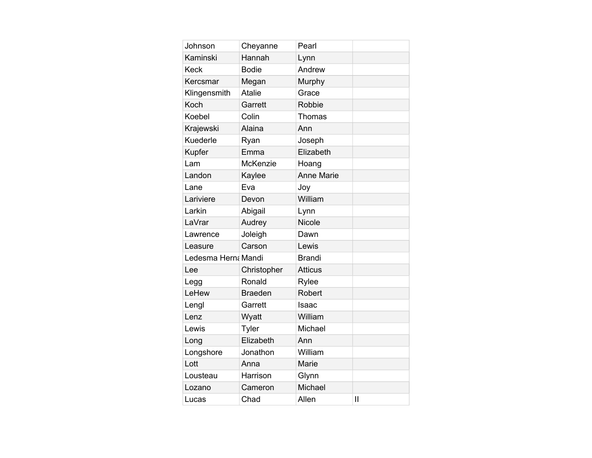| Johnson             | Cheyanne       | Pearl             |              |
|---------------------|----------------|-------------------|--------------|
| Kaminski            | Hannah         | Lynn              |              |
| <b>Keck</b>         | <b>Bodie</b>   | Andrew            |              |
| Kercsmar            | Megan          | Murphy            |              |
| Klingensmith        | <b>Atalie</b>  | Grace             |              |
| Koch                | Garrett        | Robbie            |              |
| Koebel              | Colin          | Thomas            |              |
| Krajewski           | Alaina         | Ann               |              |
| Kuederle            | Ryan           | Joseph            |              |
| <b>Kupfer</b>       | Emma           | Elizabeth         |              |
| Lam                 | McKenzie       | Hoang             |              |
| Landon              | Kaylee         | <b>Anne Marie</b> |              |
| Lane                | Eva            | Joy               |              |
| Lariviere           | Devon          | William           |              |
| Larkin              | Abigail        | Lynn              |              |
| LaVrar              | Audrey         | <b>Nicole</b>     |              |
| Lawrence            | Joleigh        | Dawn              |              |
| Leasure             | Carson         | Lewis             |              |
| Ledesma Herna Mandi |                | <b>Brandi</b>     |              |
| Lee                 | Christopher    | <b>Atticus</b>    |              |
| Legg                | Ronald         | Rylee             |              |
| LeHew               | <b>Braeden</b> | Robert            |              |
| Lengl               | Garrett        | Isaac             |              |
| Lenz                | Wyatt          | William           |              |
| Lewis               | Tyler          | Michael           |              |
| Long                | Elizabeth      | Ann               |              |
| Longshore           | Jonathon       | William           |              |
| Lott                | Anna           | Marie             |              |
| Lousteau            | Harrison       | Glynn             |              |
| Lozano              | Cameron        | Michael           |              |
| Lucas               | Chad           | Allen             | $\mathbf{I}$ |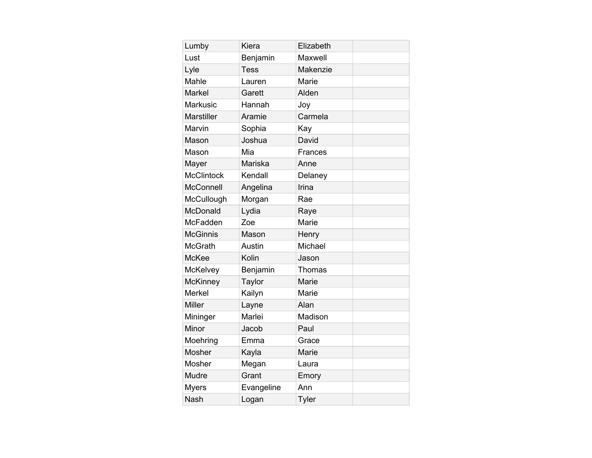| Lumby             | Kiera       | Elizabeth      |  |
|-------------------|-------------|----------------|--|
| Lust              | Benjamin    | Maxwell        |  |
| Lyle              | <b>Tess</b> | Makenzie       |  |
| Mahle             | Lauren      | Marie          |  |
| <b>Markel</b>     | Garett      | Alden          |  |
| <b>Markusic</b>   | Hannah      | Joy            |  |
| <b>Marstiller</b> | Aramie      | Carmela        |  |
| Marvin            | Sophia      | Kay            |  |
| Mason             | Joshua      | David          |  |
| Mason             | Mia         | <b>Frances</b> |  |
| Mayer             | Mariska     | Anne           |  |
| <b>McClintock</b> | Kendall     | Delaney        |  |
| <b>McConnell</b>  | Angelina    | Irina          |  |
| McCullough        | Morgan      | Rae            |  |
| McDonald          | Lydia       | Raye           |  |
| McFadden          | Zoe         | Marie          |  |
| <b>McGinnis</b>   | Mason       | Henry          |  |
| <b>McGrath</b>    | Austin      | Michael        |  |
| <b>McKee</b>      | Kolin       | Jason          |  |
| <b>McKelvey</b>   | Benjamin    | Thomas         |  |
| <b>McKinney</b>   | Taylor      | Marie          |  |
| <b>Merkel</b>     | Kailyn      | Marie          |  |
| <b>Miller</b>     | Layne       | Alan           |  |
| Mininger          | Marlei      | Madison        |  |
| Minor             | Jacob       | Paul           |  |
| Moehring          | Emma        | Grace          |  |
| Mosher            | Kayla       | Marie          |  |
| Mosher            | Megan       | Laura          |  |
| Mudre             | Grant       | Emory          |  |
| <b>Myers</b>      | Evangeline  | Ann            |  |
| <b>Nash</b>       | Logan       | Tyler          |  |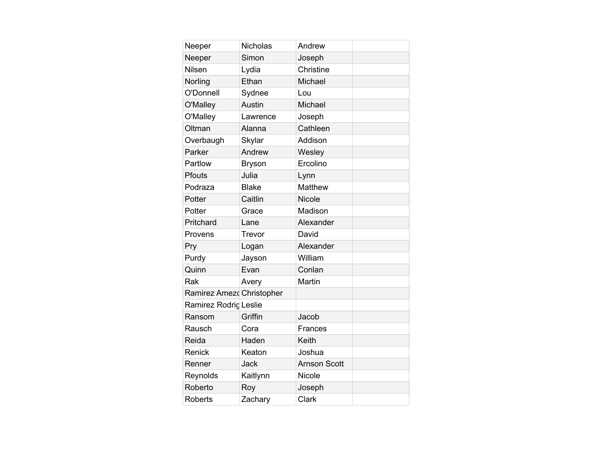| Neeper                    | <b>Nicholas</b> | Andrew              |  |
|---------------------------|-----------------|---------------------|--|
| Neeper                    | Simon           | Joseph              |  |
| Nilsen                    | Lydia           | Christine           |  |
| Norling                   | Ethan           | Michael             |  |
| O'Donnell                 | Sydnee          | Lou                 |  |
| O'Malley                  | Austin          | Michael             |  |
| O'Malley                  | Lawrence        | Joseph              |  |
| Oltman                    | Alanna          | Cathleen            |  |
| Overbaugh                 | Skylar          | Addison             |  |
| Parker                    | Andrew          | Wesley              |  |
| Partlow                   | <b>Bryson</b>   | Ercolino            |  |
| <b>Pfouts</b>             | Julia           | Lynn                |  |
| Podraza                   | <b>Blake</b>    | Matthew             |  |
| Potter                    | Caitlin         | <b>Nicole</b>       |  |
| Potter                    | Grace           | Madison             |  |
| Pritchard                 | Lane            | Alexander           |  |
| Provens                   | Trevor          | David               |  |
| Pry                       | Logan           | Alexander           |  |
| Purdy                     | Jayson          | William             |  |
| Quinn                     | Evan            | Conlan              |  |
| Rak                       | Avery           | Martin              |  |
| Ramirez Amezo Christopher |                 |                     |  |
| Ramirez Rodrig Leslie     |                 |                     |  |
| Ransom                    | Griffin         | Jacob               |  |
| Rausch                    | Cora            | Frances             |  |
| Reida                     | Haden           | Keith               |  |
| Renick                    | Keaton          | Joshua              |  |
| Renner                    | <b>Jack</b>     | <b>Arnson Scott</b> |  |
| Reynolds                  | Kaitlynn        | Nicole              |  |
| Roberto                   | Roy             | Joseph              |  |
| <b>Roberts</b>            | Zachary         | Clark               |  |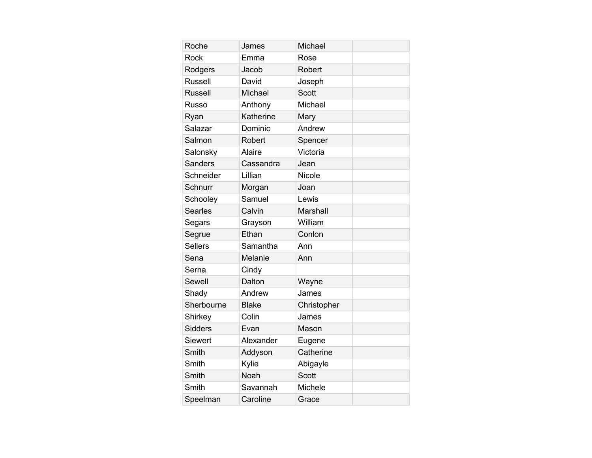| Roche          | James        | Michael       |  |
|----------------|--------------|---------------|--|
| Rock           | Emma         | Rose          |  |
| Rodgers        | Jacob        | Robert        |  |
| <b>Russell</b> | David        | Joseph        |  |
| <b>Russell</b> | Michael      | <b>Scott</b>  |  |
| <b>Russo</b>   | Anthony      | Michael       |  |
| Ryan           | Katherine    | Mary          |  |
| Salazar        | Dominic      | Andrew        |  |
| Salmon         | Robert       | Spencer       |  |
| Salonsky       | Alaire       | Victoria      |  |
| <b>Sanders</b> | Cassandra    | Jean          |  |
| Schneider      | Lillian      | <b>Nicole</b> |  |
| Schnurr        | Morgan       | Joan          |  |
| Schooley       | Samuel       | Lewis         |  |
| <b>Searles</b> | Calvin       | Marshall      |  |
| Segars         | Grayson      | William       |  |
| Segrue         | Ethan        | Conlon        |  |
| <b>Sellers</b> | Samantha     | Ann           |  |
| Sena           | Melanie      | Ann           |  |
| Serna          | Cindy        |               |  |
| Sewell         | Dalton       | Wayne         |  |
| Shady          | Andrew       | James         |  |
| Sherbourne     | <b>Blake</b> | Christopher   |  |
| Shirkey        | Colin        | James         |  |
| <b>Sidders</b> | Evan         | Mason         |  |
| Siewert        | Alexander    | Eugene        |  |
| Smith          | Addyson      | Catherine     |  |
| Smith          | Kylie        | Abigayle      |  |
| Smith          | Noah         | <b>Scott</b>  |  |
| Smith          | Savannah     | Michele       |  |
| Speelman       | Caroline     | Grace         |  |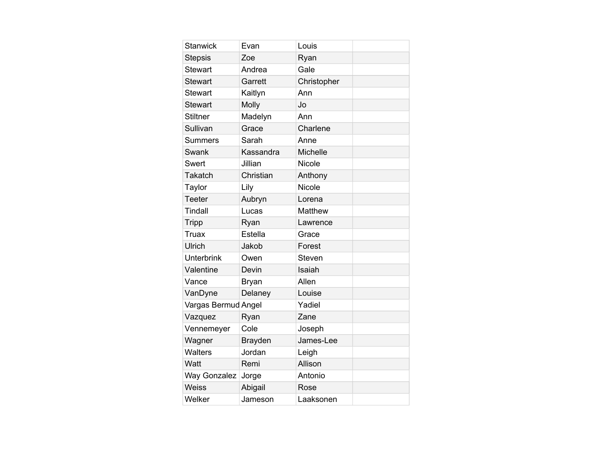| <b>Stanwick</b>     | Evan           | Louis           |  |
|---------------------|----------------|-----------------|--|
| <b>Stepsis</b>      | Zoe            | Ryan            |  |
| <b>Stewart</b>      | Andrea         | Gale            |  |
| <b>Stewart</b>      | Garrett        | Christopher     |  |
| Stewart             | Kaitlyn        | Ann             |  |
| <b>Stewart</b>      | Molly          | Jo              |  |
| <b>Stiltner</b>     | Madelyn        | Ann             |  |
| Sullivan            | Grace          | Charlene        |  |
| <b>Summers</b>      | Sarah          | Anne            |  |
| Swank               | Kassandra      | <b>Michelle</b> |  |
| Swert               | Jillian        | Nicole          |  |
| Takatch             | Christian      | Anthony         |  |
| Taylor              | Lily           | <b>Nicole</b>   |  |
| <b>Teeter</b>       | Aubryn         | Lorena          |  |
| <b>Tindall</b>      | Lucas          | <b>Matthew</b>  |  |
| <b>Tripp</b>        | Ryan           | Lawrence        |  |
| Truax               | Estella        | Grace           |  |
| Ulrich              | Jakob          | Forest          |  |
| <b>Unterbrink</b>   | Owen           | <b>Steven</b>   |  |
| Valentine           | Devin          | Isaiah          |  |
| Vance               | <b>Bryan</b>   | Allen           |  |
| VanDyne             | Delaney        | Louise          |  |
| Vargas Bermud Angel |                | Yadiel          |  |
| Vazquez             | Ryan           | Zane            |  |
| Vennemeyer          | Cole           | Joseph          |  |
| Wagner              | <b>Brayden</b> | James-Lee       |  |
| <b>Walters</b>      | Jordan         | Leigh           |  |
| Watt                | Remi           | Allison         |  |
| <b>Way Gonzalez</b> | Jorge          | Antonio         |  |
| <b>Weiss</b>        | Abigail        | Rose            |  |
| Welker              | Jameson        | Laaksonen       |  |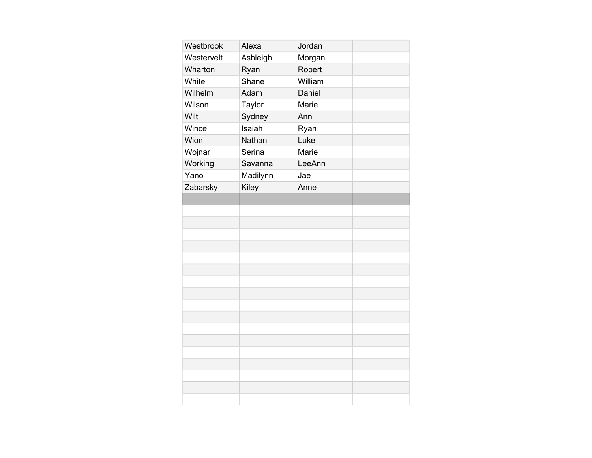| Westbrook  | Alexa    | Jordan  |  |
|------------|----------|---------|--|
| Westervelt | Ashleigh | Morgan  |  |
| Wharton    | Ryan     | Robert  |  |
| White      | Shane    | William |  |
| Wilhelm    | Adam     | Daniel  |  |
| Wilson     | Taylor   | Marie   |  |
| Wilt       | Sydney   | Ann     |  |
| Wince      | Isaiah   | Ryan    |  |
| Wion       | Nathan   | Luke    |  |
| Wojnar     | Serina   | Marie   |  |
| Working    | Savanna  | LeeAnn  |  |
| Yano       | Madilynn | Jae     |  |
| Zabarsky   | Kiley    | Anne    |  |
|            |          |         |  |
|            |          |         |  |
|            |          |         |  |
|            |          |         |  |
|            |          |         |  |
|            |          |         |  |
|            |          |         |  |
|            |          |         |  |
|            |          |         |  |
|            |          |         |  |
|            |          |         |  |
|            |          |         |  |
|            |          |         |  |
|            |          |         |  |
|            |          |         |  |
|            |          |         |  |
|            |          |         |  |
|            |          |         |  |